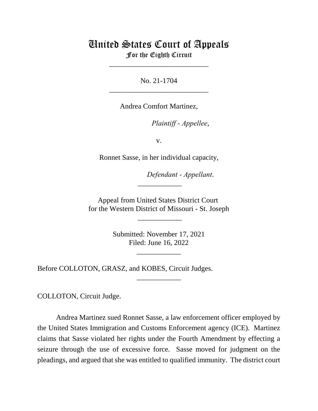## United States Court of Appeals For the Eighth Circuit

\_\_\_\_\_\_\_\_\_\_\_\_\_\_\_\_\_\_\_\_\_\_\_\_\_\_\_

No. 21-1704 \_\_\_\_\_\_\_\_\_\_\_\_\_\_\_\_\_\_\_\_\_\_\_\_\_\_\_

Andrea Comfort Martinez,

*Plaintiff - Appellee,* 

v.

Ronnet Sasse, in her individual capacity,

Defendant - Appellant.

Appeal from United States District Court for the Western District of Missouri - St. Joseph

 $\overline{\phantom{a}}$ 

\_\_\_\_\_\_\_\_\_\_\_\_

Submitted: November 17, 2021 Filed: June 16, 2022

\_\_\_\_\_\_\_\_\_\_\_\_

\_\_\_\_\_\_\_\_\_\_\_\_

Before COLLOTON, GRASZ, and KOBES, Circuit Judges.

COLLOTON, Circuit Judge.

Andrea Martinez sued Ronnet Sasse, a law enforcement officer employed by the United States Immigration and Customs Enforcement agency (ICE). Martinez claims that Sasse violated her rights under the Fourth Amendment by effecting a seizure through the use of excessive force. Sasse moved for judgment on the pleadings, and argued that she was entitled to qualified immunity. The district court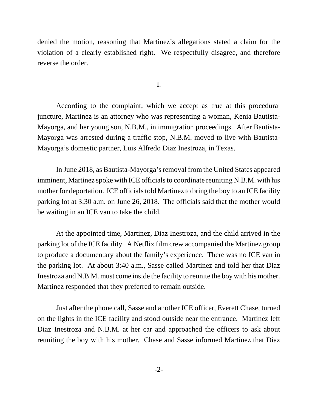denied the motion, reasoning that Martinez's allegations stated a claim for the violation of a clearly established right. We respectfully disagree, and therefore reverse the order.

I.

According to the complaint, which we accept as true at this procedural juncture, Martinez is an attorney who was representing a woman, Kenia Bautista-Mayorga, and her young son, N.B.M., in immigration proceedings. After Bautista-Mayorga was arrested during a traffic stop, N.B.M. moved to live with Bautista-Mayorga's domestic partner, Luis Alfredo Diaz Inestroza, in Texas.

In June 2018, as Bautista-Mayorga's removal from the United States appeared imminent, Martinez spoke with ICE officials to coordinate reuniting N.B.M. with his mother for deportation. ICE officials told Martinez to bring the boy to an ICE facility parking lot at 3:30 a.m. on June 26, 2018. The officials said that the mother would be waiting in an ICE van to take the child.

At the appointed time, Martinez, Diaz Inestroza, and the child arrived in the parking lot of the ICE facility. A Netflix film crew accompanied the Martinez group to produce a documentary about the family's experience. There was no ICE van in the parking lot. At about 3:40 a.m., Sasse called Martinez and told her that Diaz Inestroza and N.B.M. must come inside the facility to reunite the boy with his mother. Martinez responded that they preferred to remain outside.

Just after the phone call, Sasse and another ICE officer, Everett Chase, turned on the lights in the ICE facility and stood outside near the entrance. Martinez left Diaz Inestroza and N.B.M. at her car and approached the officers to ask about reuniting the boy with his mother. Chase and Sasse informed Martinez that Diaz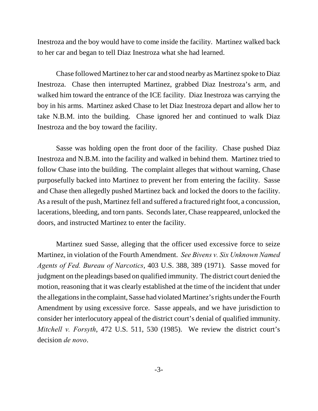Inestroza and the boy would have to come inside the facility. Martinez walked back to her car and began to tell Diaz Inestroza what she had learned.

Chase followed Martinez to her car and stood nearby as Martinez spoke to Diaz Inestroza. Chase then interrupted Martinez, grabbed Diaz Inestroza's arm, and walked him toward the entrance of the ICE facility. Diaz Inestroza was carrying the boy in his arms. Martinez asked Chase to let Diaz Inestroza depart and allow her to take N.B.M. into the building. Chase ignored her and continued to walk Diaz Inestroza and the boy toward the facility.

Sasse was holding open the front door of the facility. Chase pushed Diaz Inestroza and N.B.M. into the facility and walked in behind them. Martinez tried to follow Chase into the building. The complaint alleges that without warning, Chase purposefully backed into Martinez to prevent her from entering the facility. Sasse and Chase then allegedly pushed Martinez back and locked the doors to the facility. As a result of the push, Martinez fell and suffered a fractured right foot, a concussion, lacerations, bleeding, and torn pants. Seconds later, Chase reappeared, unlocked the doors, and instructed Martinez to enter the facility.

Martinez sued Sasse, alleging that the officer used excessive force to seize Martinez, in violation of the Fourth Amendment. *See Bivens v. Six Unknown Named Agents of Fed. Bureau of Narcotics*, 403 U.S. 388, 389 (1971). Sasse moved for judgment on the pleadings based on qualified immunity. The district court denied the motion, reasoning that it was clearly established at the time of the incident that under the allegations in the complaint, Sasse had violated Martinez's rights under the Fourth Amendment by using excessive force. Sasse appeals, and we have jurisdiction to consider her interlocutory appeal of the district court's denial of qualified immunity. *Mitchell v. Forsyth*, 472 U.S. 511, 530 (1985). We review the district court's decision *de novo*.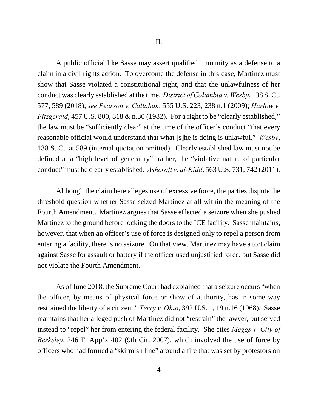A public official like Sasse may assert qualified immunity as a defense to a claim in a civil rights action. To overcome the defense in this case, Martinez must show that Sasse violated a constitutional right, and that the unlawfulness of her conduct was clearly established at the time. *District of Columbia v. Wesby*, 138 S. Ct. 577, 589 (2018); *see Pearson v. Callahan*, 555 U.S. 223, 238 n.1 (2009); *Harlow v. Fitzgerald*, 457 U.S. 800, 818 & n.30 (1982). For a right to be "clearly established," the law must be "sufficiently clear" at the time of the officer's conduct "that every reasonable official would understand that what [s]he is doing is unlawful." *Wesby*, 138 S. Ct. at 589 (internal quotation omitted). Clearly established law must not be defined at a "high level of generality"; rather, the "violative nature of particular conduct" must be clearly established. *Ashcroft v. al-Kidd*, 563 U.S. 731, 742 (2011).

Although the claim here alleges use of excessive force, the parties dispute the threshold question whether Sasse seized Martinez at all within the meaning of the Fourth Amendment. Martinez argues that Sasse effected a seizure when she pushed Martinez to the ground before locking the doors to the ICE facility. Sasse maintains, however, that when an officer's use of force is designed only to repel a person from entering a facility, there is no seizure. On that view, Martinez may have a tort claim against Sasse for assault or battery if the officer used unjustified force, but Sasse did not violate the Fourth Amendment.

As of June 2018, the Supreme Court had explained that a seizure occurs "when the officer, by means of physical force or show of authority, has in some way restrained the liberty of a citizen." *Terry v. Ohio*, 392 U.S. 1, 19 n.16 (1968). Sasse maintains that her alleged push of Martinez did not "restrain" the lawyer, but served instead to "repel" her from entering the federal facility. She cites *Meggs v. City of Berkeley*, 246 F. App'x 402 (9th Cir. 2007), which involved the use of force by officers who had formed a "skirmish line" around a fire that was set by protestors on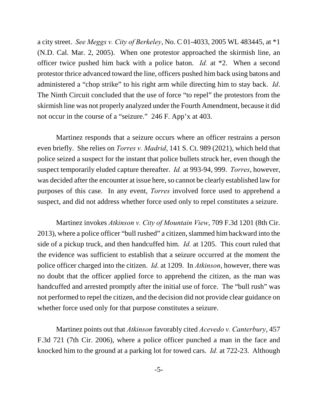a city street. *See Meggs v. City of Berkeley*, No. C 01-4033, 2005 WL 483445, at \*1 (N.D. Cal. Mar. 2, 2005). When one protestor approached the skirmish line, an officer twice pushed him back with a police baton. *Id.* at \*2. When a second protestor thrice advanced toward the line, officers pushed him back using batons and administered a "chop strike" to his right arm while directing him to stay back. *Id*. The Ninth Circuit concluded that the use of force "to repel" the protestors from the skirmish line was not properly analyzed under the Fourth Amendment, because it did not occur in the course of a "seizure." 246 F. App'x at 403.

Martinez responds that a seizure occurs where an officer restrains a person even briefly. She relies on *Torres v. Madrid*, 141 S. Ct. 989 (2021), which held that police seized a suspect for the instant that police bullets struck her, even though the suspect temporarily eluded capture thereafter. *Id.* at 993-94, 999. *Torres*, however, was decided after the encounter at issue here, so cannot be clearly established law for purposes of this case. In any event, *Torres* involved force used to apprehend a suspect, and did not address whether force used only to repel constitutes a seizure.

Martinez invokes *Atkinson v. City of Mountain View*, 709 F.3d 1201 (8th Cir. 2013), where a police officer "bull rushed" a citizen, slammed him backward into the side of a pickup truck, and then handcuffed him. *Id.* at 1205. This court ruled that the evidence was sufficient to establish that a seizure occurred at the moment the police officer charged into the citizen. *Id*. at 1209. In *Atkinson*, however, there was no doubt that the officer applied force to apprehend the citizen, as the man was handcuffed and arrested promptly after the initial use of force. The "bull rush" was not performed to repel the citizen, and the decision did not provide clear guidance on whether force used only for that purpose constitutes a seizure.

Martinez points out that *Atkinson* favorably cited *Acevedo v. Canterbury*, 457 F.3d 721 (7th Cir. 2006), where a police officer punched a man in the face and knocked him to the ground at a parking lot for towed cars. *Id.* at 722-23. Although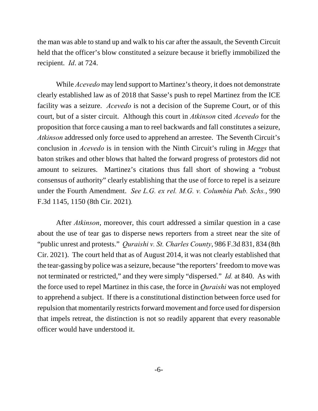the man was able to stand up and walk to his car after the assault, the Seventh Circuit held that the officer's blow constituted a seizure because it briefly immobilized the recipient. *Id*. at 724.

While *Acevedo* may lend support to Martinez's theory, it does not demonstrate clearly established law as of 2018 that Sasse's push to repel Martinez from the ICE facility was a seizure. *Acevedo* is not a decision of the Supreme Court, or of this court, but of a sister circuit. Although this court in *Atkinson* cited *Acevedo* for the proposition that force causing a man to reel backwards and fall constitutes a seizure, *Atkinson* addressed only force used to apprehend an arrestee. The Seventh Circuit's conclusion in *Acevedo* is in tension with the Ninth Circuit's ruling in *Meggs* that baton strikes and other blows that halted the forward progress of protestors did not amount to seizures. Martinez's citations thus fall short of showing a "robust consensus of authority" clearly establishing that the use of force to repel is a seizure under the Fourth Amendment. *See L.G. ex rel. M.G. v. Columbia Pub. Schs.*, 990 F.3d 1145, 1150 (8th Cir. 2021)*.*

After *Atkinson*, moreover, this court addressed a similar question in a case about the use of tear gas to disperse news reporters from a street near the site of "public unrest and protests." *Quraishi v. St. Charles County*, 986 F.3d 831, 834 (8th Cir. 2021). The court held that as of August 2014, it was not clearly established that the tear-gassing by police was a seizure, because "the reporters' freedom to move was not terminated or restricted," and they were simply "dispersed." *Id.* at 840. As with the force used to repel Martinez in this case, the force in *Quraishi* was not employed to apprehend a subject. If there is a constitutional distinction between force used for repulsion that momentarily restricts forward movement and force used for dispersion that impels retreat, the distinction is not so readily apparent that every reasonable officer would have understood it.